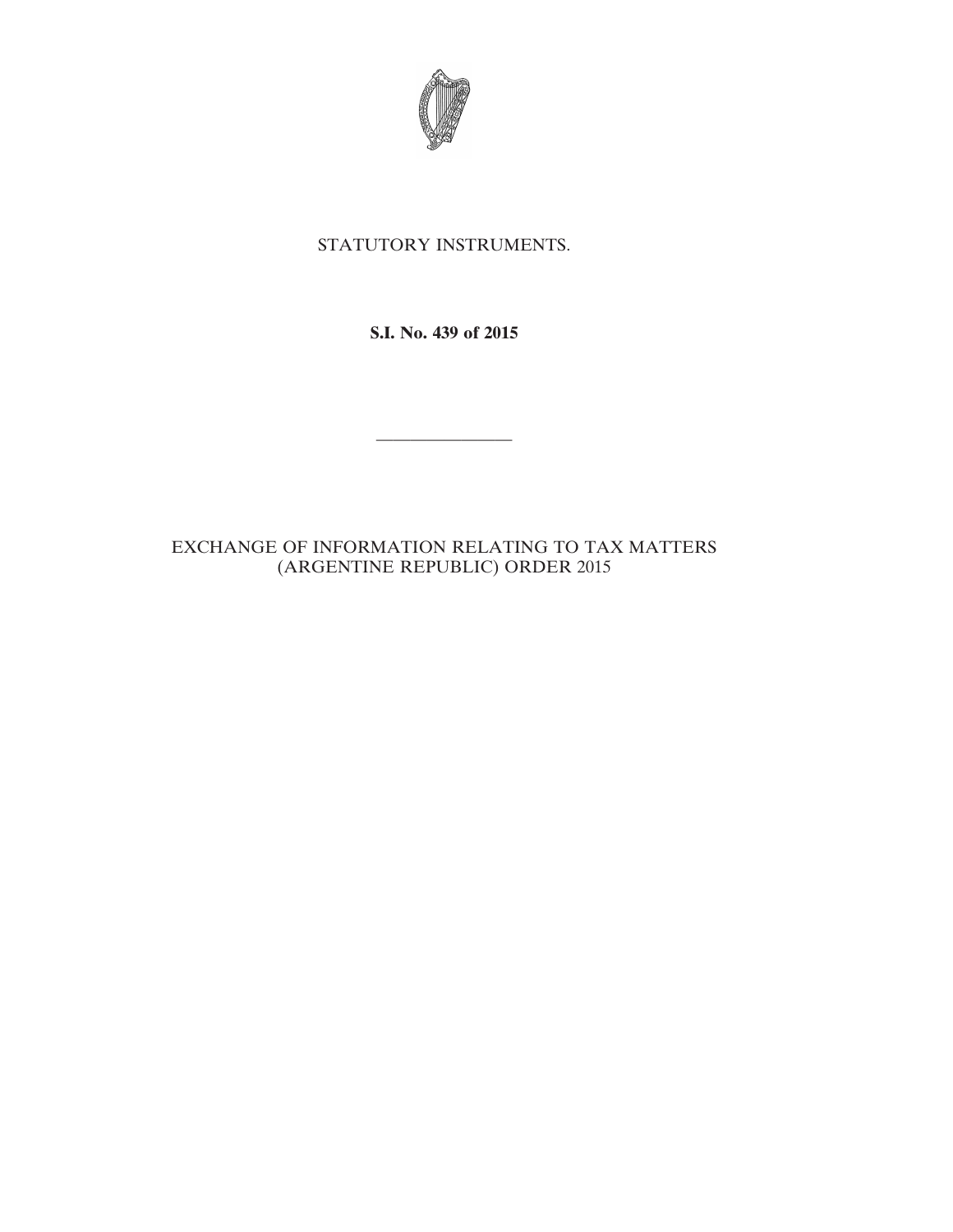

# STATUTORY INSTRUMENTS.

**S.I. No. 439 of 2015**

————————

# EXCHANGE OF INFORMATION RELATING TO TAX MATTERS (ARGENTINE REPUBLIC) ORDER 2015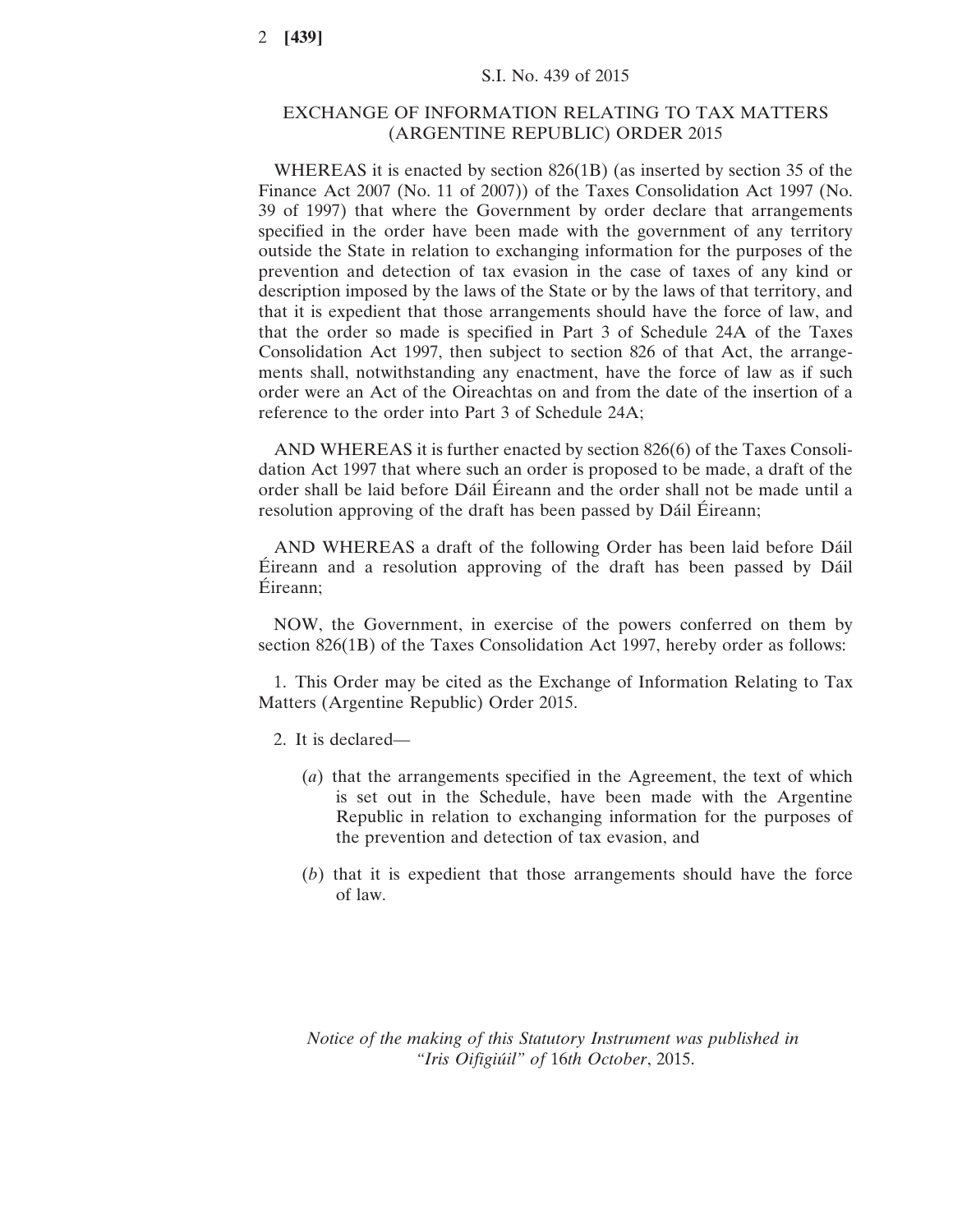# EXCHANGE OF INFORMATION RELATING TO TAX MATTERS (ARGENTINE REPUBLIC) ORDER 2015

WHEREAS it is enacted by section 826(1B) (as inserted by section 35 of the Finance Act 2007 (No. 11 of 2007)) of the Taxes Consolidation Act 1997 (No. 39 of 1997) that where the Government by order declare that arrangements specified in the order have been made with the government of any territory outside the State in relation to exchanging information for the purposes of the prevention and detection of tax evasion in the case of taxes of any kind or description imposed by the laws of the State or by the laws of that territory, and that it is expedient that those arrangements should have the force of law, and that the order so made is specified in Part 3 of Schedule 24A of the Taxes Consolidation Act 1997, then subject to section 826 of that Act, the arrangements shall, notwithstanding any enactment, have the force of law as if such order were an Act of the Oireachtas on and from the date of the insertion of a reference to the order into Part 3 of Schedule 24A;

AND WHEREAS it is further enacted by section 826(6) of the Taxes Consolidation Act 1997 that where such an order is proposed to be made, a draft of the order shall be laid before Dáil Éireann and the order shall not be made until a resolution approving of the draft has been passed by Dáil Éireann;

AND WHEREAS a draft of the following Order has been laid before Dáil Éireann and a resolution approving of the draft has been passed by Dáil Éireann;

NOW, the Government, in exercise of the powers conferred on them by section 826(1B) of the Taxes Consolidation Act 1997, hereby order as follows:

1. This Order may be cited as the Exchange of Information Relating to Tax Matters (Argentine Republic) Order 2015.

- 2. It is declared—
	- (*a*) that the arrangements specified in the Agreement, the text of which is set out in the Schedule, have been made with the Argentine Republic in relation to exchanging information for the purposes of the prevention and detection of tax evasion, and
	- (*b*) that it is expedient that those arrangements should have the force of law.

*Notice of the making of this Statutory Instrument was published in "Iris Oifigiúil" of* 16*th October*, 2015.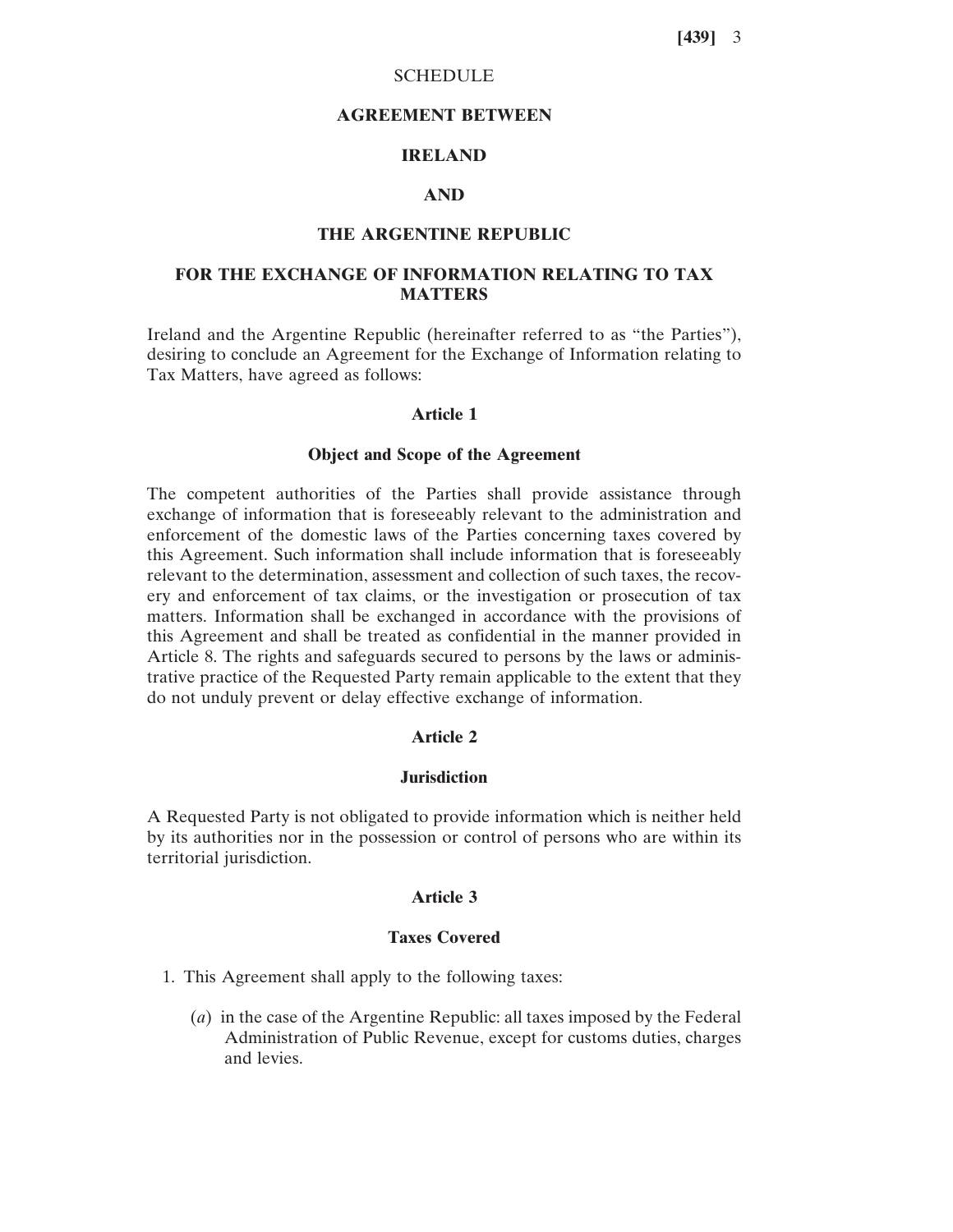## **SCHEDULE**

#### **AGREEMENT BETWEEN**

# **IRELAND**

## **AND**

## **THE ARGENTINE REPUBLIC**

# **FOR THE EXCHANGE OF INFORMATION RELATING TO TAX MATTERS**

Ireland and the Argentine Republic (hereinafter referred to as "the Parties"), desiring to conclude an Agreement for the Exchange of Information relating to Tax Matters, have agreed as follows:

#### **Article 1**

## **Object and Scope of the Agreement**

The competent authorities of the Parties shall provide assistance through exchange of information that is foreseeably relevant to the administration and enforcement of the domestic laws of the Parties concerning taxes covered by this Agreement. Such information shall include information that is foreseeably relevant to the determination, assessment and collection of such taxes, the recovery and enforcement of tax claims, or the investigation or prosecution of tax matters. Information shall be exchanged in accordance with the provisions of this Agreement and shall be treated as confidential in the manner provided in Article 8. The rights and safeguards secured to persons by the laws or administrative practice of the Requested Party remain applicable to the extent that they do not unduly prevent or delay effective exchange of information.

# **Article 2**

#### **Jurisdiction**

A Requested Party is not obligated to provide information which is neither held by its authorities nor in the possession or control of persons who are within its territorial jurisdiction.

## **Article 3**

#### **Taxes Covered**

1. This Agreement shall apply to the following taxes:

(*a*) in the case of the Argentine Republic: all taxes imposed by the Federal Administration of Public Revenue, except for customs duties, charges and levies.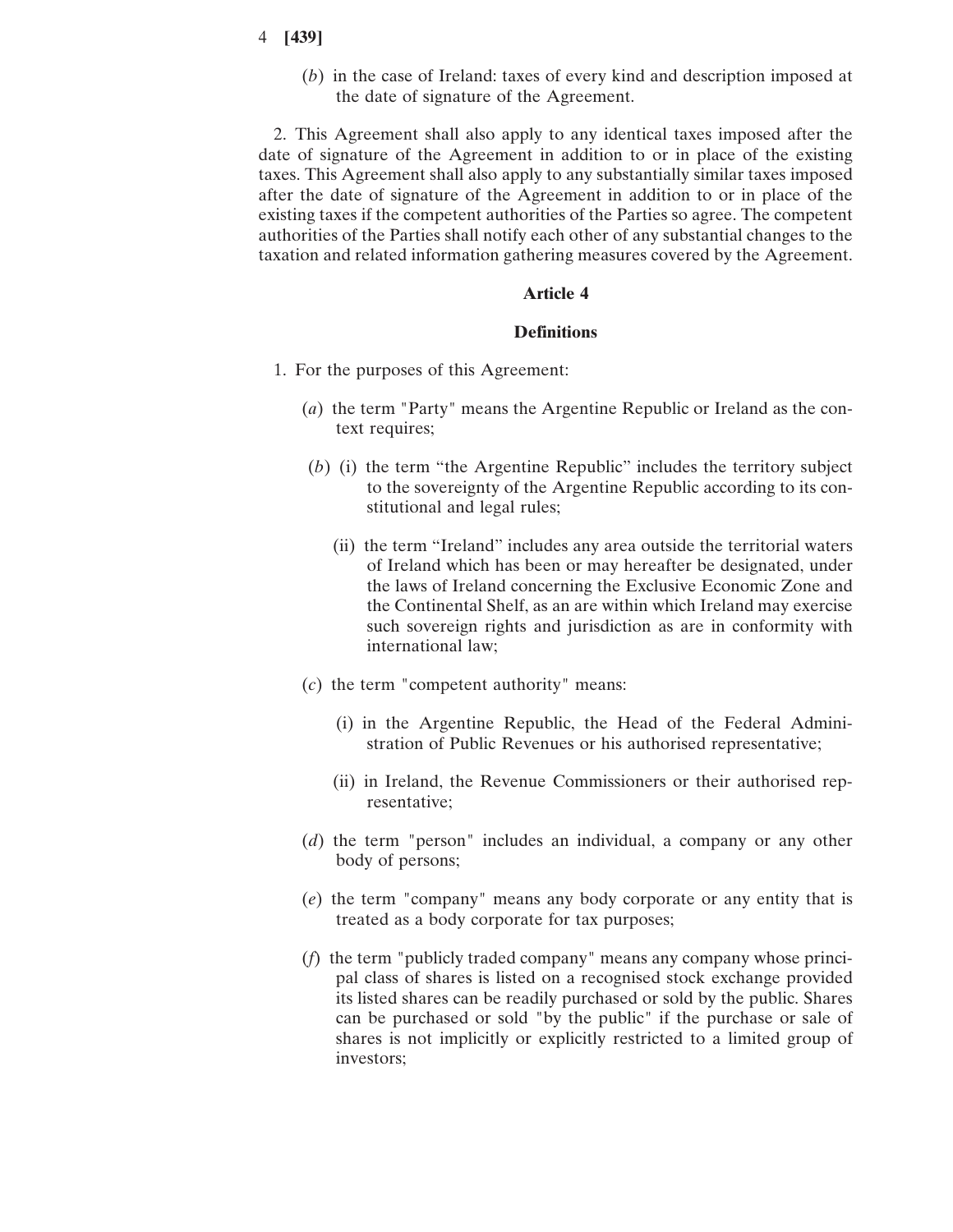(*b*) in the case of Ireland: taxes of every kind and description imposed at the date of signature of the Agreement.

2. This Agreement shall also apply to any identical taxes imposed after the date of signature of the Agreement in addition to or in place of the existing taxes. This Agreement shall also apply to any substantially similar taxes imposed after the date of signature of the Agreement in addition to or in place of the existing taxes if the competent authorities of the Parties so agree. The competent authorities of the Parties shall notify each other of any substantial changes to the taxation and related information gathering measures covered by the Agreement.

## **Article 4**

#### **Definitions**

- 1. For the purposes of this Agreement:
	- (*a*) the term "Party" means the Argentine Republic or Ireland as the context requires;
	- (*b*) (i) the term "the Argentine Republic" includes the territory subject to the sovereignty of the Argentine Republic according to its constitutional and legal rules;
		- (ii) the term "Ireland" includes any area outside the territorial waters of Ireland which has been or may hereafter be designated, under the laws of Ireland concerning the Exclusive Economic Zone and the Continental Shelf, as an are within which Ireland may exercise such sovereign rights and jurisdiction as are in conformity with international law;
	- (*c*) the term "competent authority" means:
		- (i) in the Argentine Republic, the Head of the Federal Administration of Public Revenues or his authorised representative;
		- (ii) in Ireland, the Revenue Commissioners or their authorised representative;
	- (*d*) the term "person" includes an individual, a company or any other body of persons;
	- (*e*) the term "company" means any body corporate or any entity that is treated as a body corporate for tax purposes;
	- (*f*) the term "publicly traded company" means any company whose principal class of shares is listed on a recognised stock exchange provided its listed shares can be readily purchased or sold by the public. Shares can be purchased or sold "by the public" if the purchase or sale of shares is not implicitly or explicitly restricted to a limited group of investors;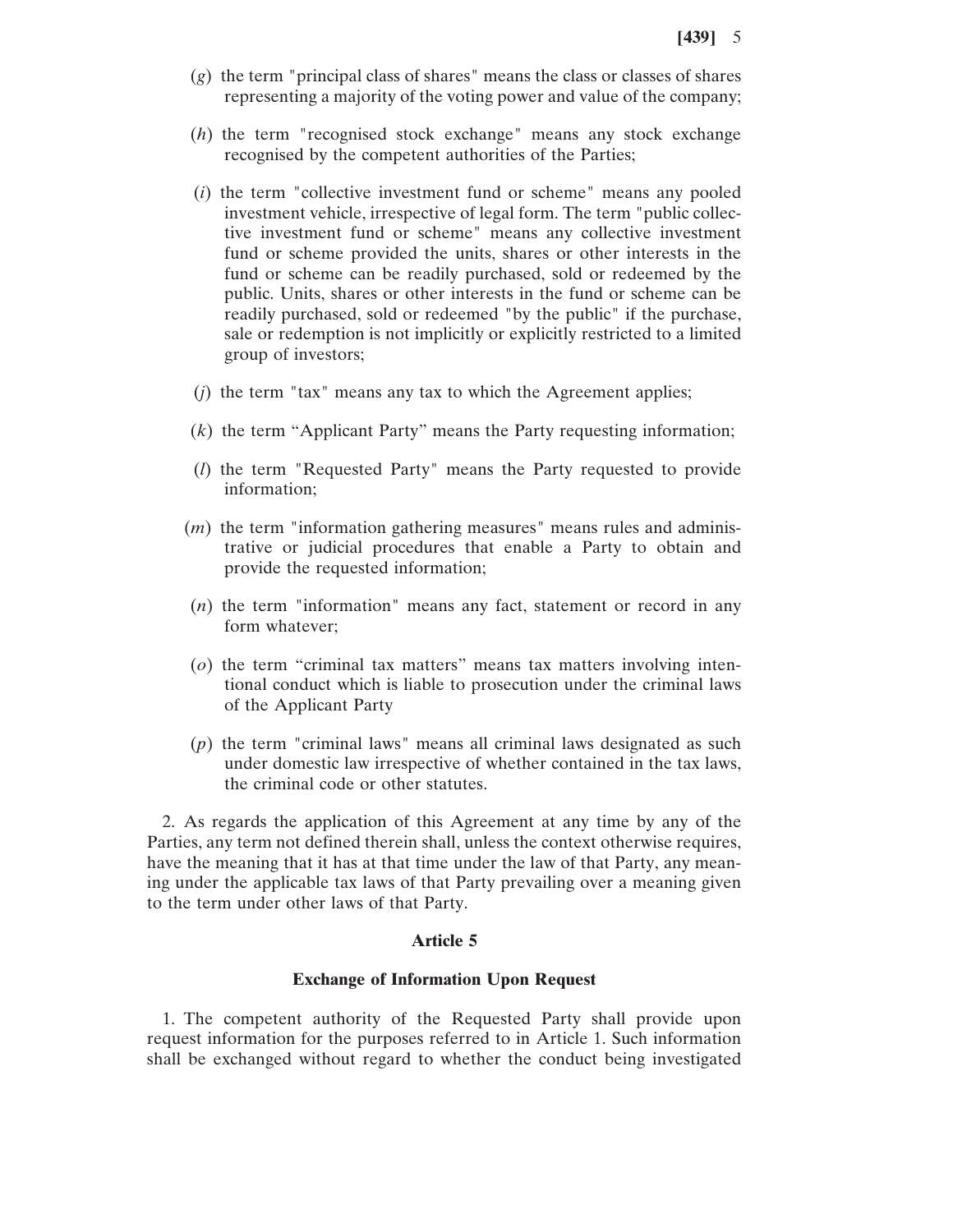- (*g*) the term "principal class of shares" means the class or classes of shares representing a majority of the voting power and value of the company;
- (*h*) the term "recognised stock exchange" means any stock exchange recognised by the competent authorities of the Parties;
- (*i*) the term "collective investment fund or scheme" means any pooled investment vehicle, irrespective of legal form. The term "public collective investment fund or scheme" means any collective investment fund or scheme provided the units, shares or other interests in the fund or scheme can be readily purchased, sold or redeemed by the public. Units, shares or other interests in the fund or scheme can be readily purchased, sold or redeemed "by the public" if the purchase, sale or redemption is not implicitly or explicitly restricted to a limited group of investors;
- (*j*) the term "tax" means any tax to which the Agreement applies;
- (*k*) the term "Applicant Party" means the Party requesting information;
- (*l*) the term "Requested Party" means the Party requested to provide information;
- (*m*) the term "information gathering measures" means rules and administrative or judicial procedures that enable a Party to obtain and provide the requested information;
- (*n*) the term "information" means any fact, statement or record in any form whatever;
- (*o*) the term "criminal tax matters" means tax matters involving intentional conduct which is liable to prosecution under the criminal laws of the Applicant Party
- (*p*) the term "criminal laws" means all criminal laws designated as such under domestic law irrespective of whether contained in the tax laws, the criminal code or other statutes.

2. As regards the application of this Agreement at any time by any of the Parties, any term not defined therein shall, unless the context otherwise requires, have the meaning that it has at that time under the law of that Party, any meaning under the applicable tax laws of that Party prevailing over a meaning given to the term under other laws of that Party.

#### **Article 5**

## **Exchange of Information Upon Request**

1. The competent authority of the Requested Party shall provide upon request information for the purposes referred to in Article 1. Such information shall be exchanged without regard to whether the conduct being investigated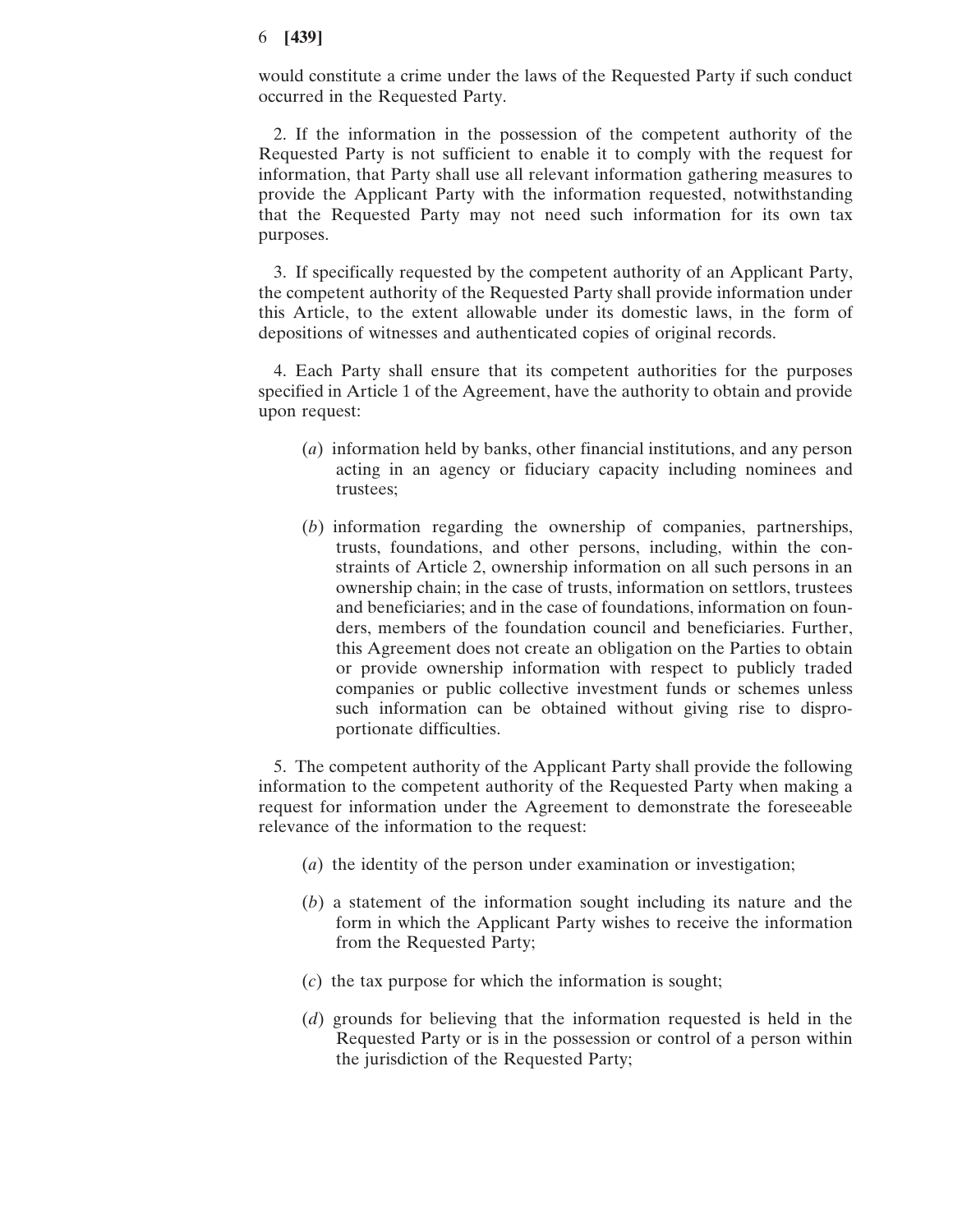would constitute a crime under the laws of the Requested Party if such conduct occurred in the Requested Party.

2. If the information in the possession of the competent authority of the Requested Party is not sufficient to enable it to comply with the request for information, that Party shall use all relevant information gathering measures to provide the Applicant Party with the information requested, notwithstanding that the Requested Party may not need such information for its own tax purposes.

3. If specifically requested by the competent authority of an Applicant Party, the competent authority of the Requested Party shall provide information under this Article, to the extent allowable under its domestic laws, in the form of depositions of witnesses and authenticated copies of original records.

4. Each Party shall ensure that its competent authorities for the purposes specified in Article 1 of the Agreement, have the authority to obtain and provide upon request:

- (*a*) information held by banks, other financial institutions, and any person acting in an agency or fiduciary capacity including nominees and trustees;
- (*b*) information regarding the ownership of companies, partnerships, trusts, foundations, and other persons, including, within the constraints of Article 2, ownership information on all such persons in an ownership chain; in the case of trusts, information on settlors, trustees and beneficiaries; and in the case of foundations, information on founders, members of the foundation council and beneficiaries. Further, this Agreement does not create an obligation on the Parties to obtain or provide ownership information with respect to publicly traded companies or public collective investment funds or schemes unless such information can be obtained without giving rise to disproportionate difficulties.

5. The competent authority of the Applicant Party shall provide the following information to the competent authority of the Requested Party when making a request for information under the Agreement to demonstrate the foreseeable relevance of the information to the request:

- (*a*) the identity of the person under examination or investigation;
- (*b*) a statement of the information sought including its nature and the form in which the Applicant Party wishes to receive the information from the Requested Party;
- (*c*) the tax purpose for which the information is sought;
- (*d*) grounds for believing that the information requested is held in the Requested Party or is in the possession or control of a person within the jurisdiction of the Requested Party;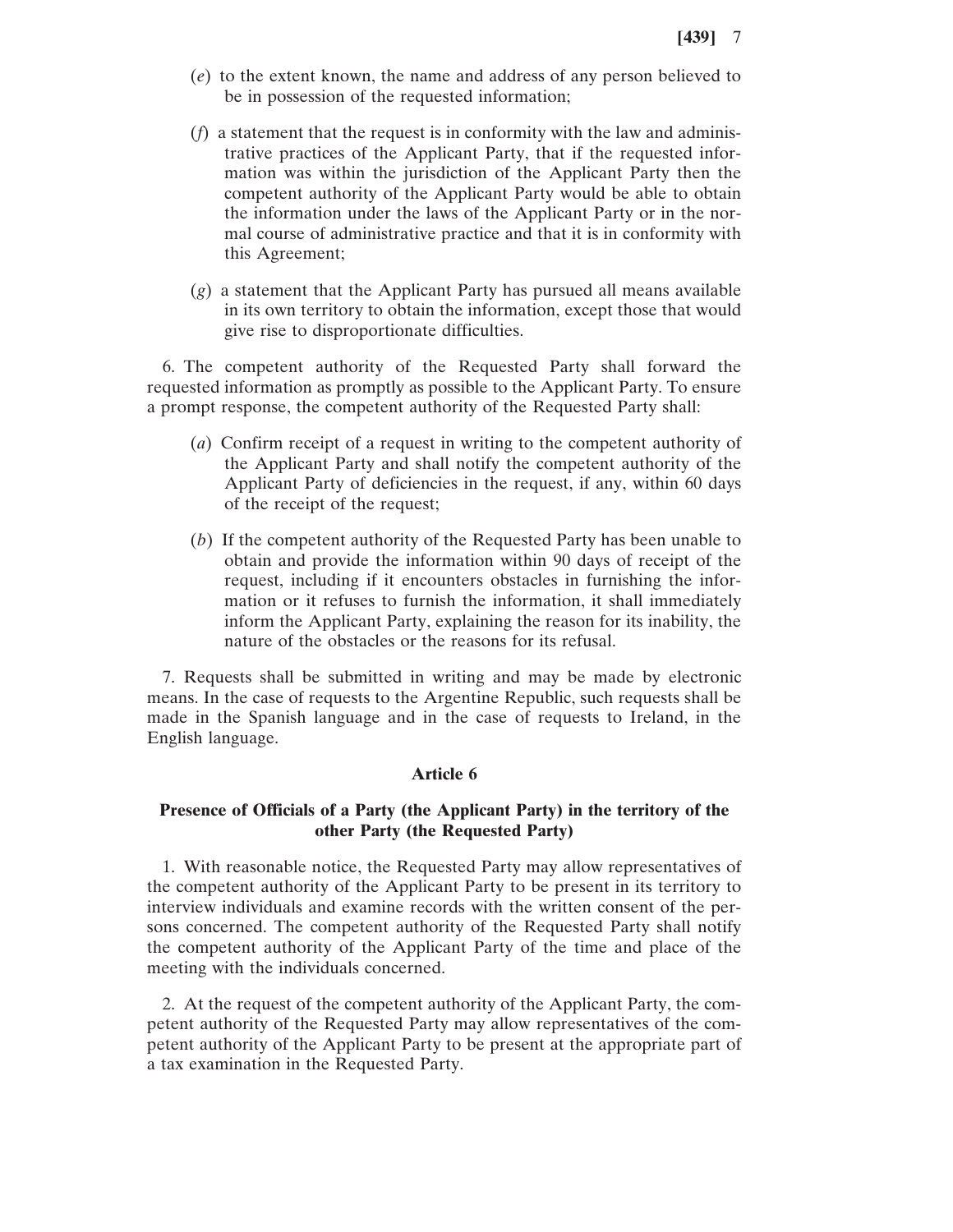- (*e*) to the extent known, the name and address of any person believed to be in possession of the requested information;
- (*f*) a statement that the request is in conformity with the law and administrative practices of the Applicant Party, that if the requested information was within the jurisdiction of the Applicant Party then the competent authority of the Applicant Party would be able to obtain the information under the laws of the Applicant Party or in the normal course of administrative practice and that it is in conformity with this Agreement;
- (*g*) a statement that the Applicant Party has pursued all means available in its own territory to obtain the information, except those that would give rise to disproportionate difficulties.

6. The competent authority of the Requested Party shall forward the requested information as promptly as possible to the Applicant Party. To ensure a prompt response, the competent authority of the Requested Party shall:

- (*a*) Confirm receipt of a request in writing to the competent authority of the Applicant Party and shall notify the competent authority of the Applicant Party of deficiencies in the request, if any, within 60 days of the receipt of the request;
- (*b*) If the competent authority of the Requested Party has been unable to obtain and provide the information within 90 days of receipt of the request, including if it encounters obstacles in furnishing the information or it refuses to furnish the information, it shall immediately inform the Applicant Party, explaining the reason for its inability, the nature of the obstacles or the reasons for its refusal.

7. Requests shall be submitted in writing and may be made by electronic means. In the case of requests to the Argentine Republic, such requests shall be made in the Spanish language and in the case of requests to Ireland, in the English language.

## **Article 6**

# **Presence of Officials of a Party (the Applicant Party) in the territory of the other Party (the Requested Party)**

1. With reasonable notice, the Requested Party may allow representatives of the competent authority of the Applicant Party to be present in its territory to interview individuals and examine records with the written consent of the persons concerned. The competent authority of the Requested Party shall notify the competent authority of the Applicant Party of the time and place of the meeting with the individuals concerned.

2. At the request of the competent authority of the Applicant Party, the competent authority of the Requested Party may allow representatives of the competent authority of the Applicant Party to be present at the appropriate part of a tax examination in the Requested Party.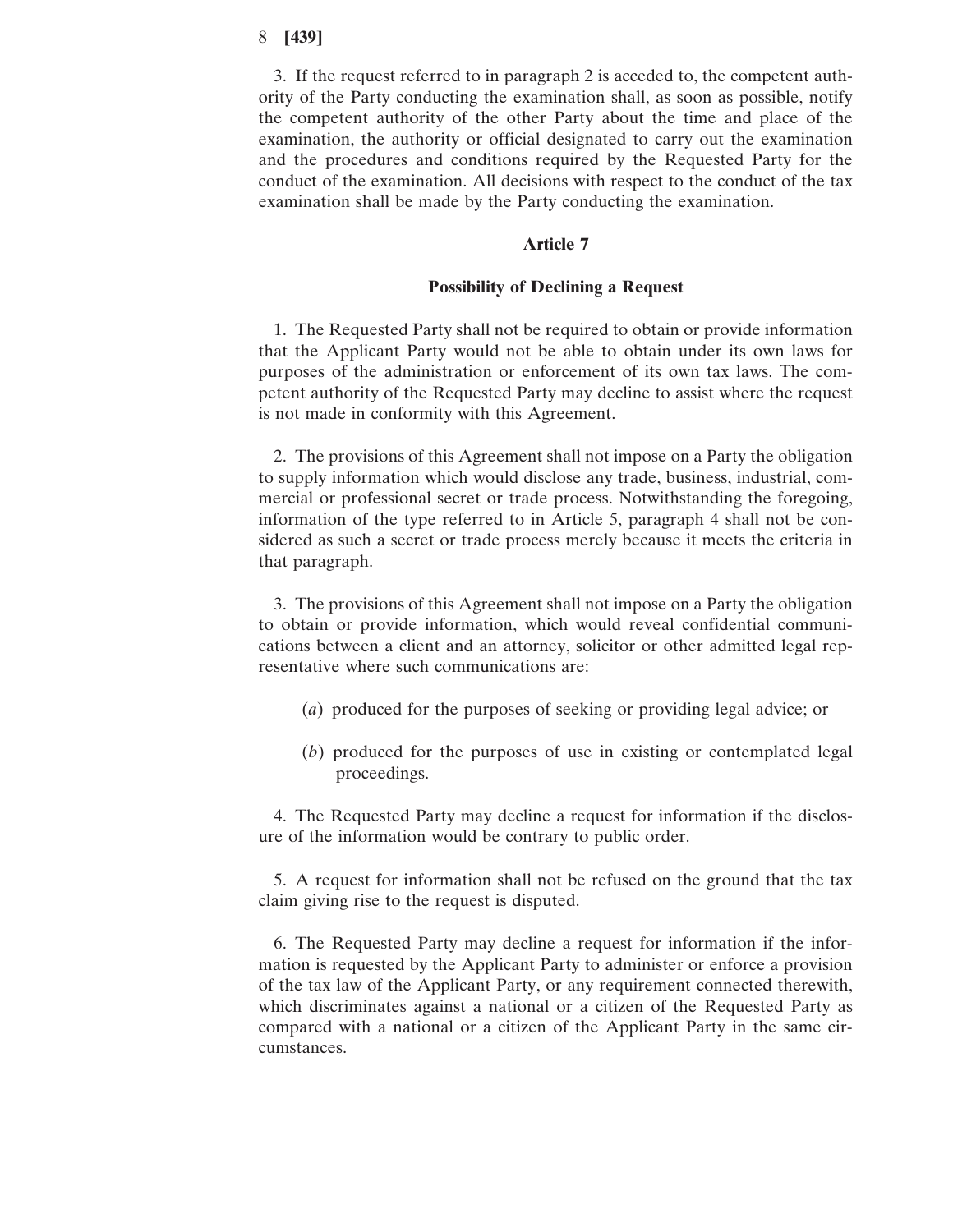3. If the request referred to in paragraph 2 is acceded to, the competent authority of the Party conducting the examination shall, as soon as possible, notify the competent authority of the other Party about the time and place of the examination, the authority or official designated to carry out the examination and the procedures and conditions required by the Requested Party for the conduct of the examination. All decisions with respect to the conduct of the tax examination shall be made by the Party conducting the examination.

#### **Article 7**

#### **Possibility of Declining a Request**

1. The Requested Party shall not be required to obtain or provide information that the Applicant Party would not be able to obtain under its own laws for purposes of the administration or enforcement of its own tax laws. The competent authority of the Requested Party may decline to assist where the request is not made in conformity with this Agreement.

2. The provisions of this Agreement shall not impose on a Party the obligation to supply information which would disclose any trade, business, industrial, commercial or professional secret or trade process. Notwithstanding the foregoing, information of the type referred to in Article 5, paragraph 4 shall not be considered as such a secret or trade process merely because it meets the criteria in that paragraph.

3. The provisions of this Agreement shall not impose on a Party the obligation to obtain or provide information, which would reveal confidential communications between a client and an attorney, solicitor or other admitted legal representative where such communications are:

- (*a*) produced for the purposes of seeking or providing legal advice; or
- (*b*) produced for the purposes of use in existing or contemplated legal proceedings.

4. The Requested Party may decline a request for information if the disclosure of the information would be contrary to public order.

5. A request for information shall not be refused on the ground that the tax claim giving rise to the request is disputed.

6. The Requested Party may decline a request for information if the information is requested by the Applicant Party to administer or enforce a provision of the tax law of the Applicant Party, or any requirement connected therewith, which discriminates against a national or a citizen of the Requested Party as compared with a national or a citizen of the Applicant Party in the same circumstances.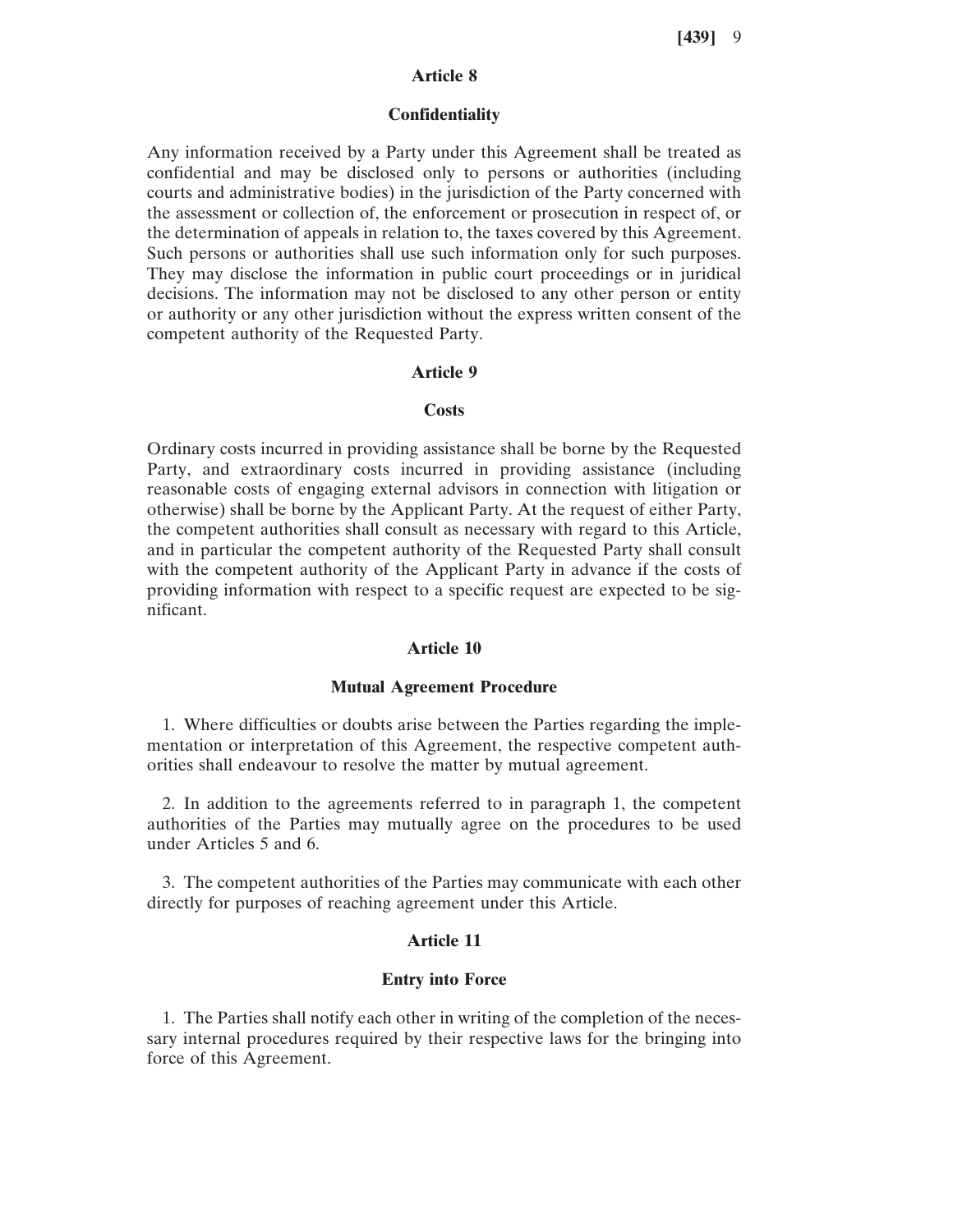# **Article 8**

#### **Confidentiality**

Any information received by a Party under this Agreement shall be treated as confidential and may be disclosed only to persons or authorities (including courts and administrative bodies) in the jurisdiction of the Party concerned with the assessment or collection of, the enforcement or prosecution in respect of, or the determination of appeals in relation to, the taxes covered by this Agreement. Such persons or authorities shall use such information only for such purposes. They may disclose the information in public court proceedings or in juridical decisions. The information may not be disclosed to any other person or entity or authority or any other jurisdiction without the express written consent of the competent authority of the Requested Party.

#### **Article 9**

#### **Costs**

Ordinary costs incurred in providing assistance shall be borne by the Requested Party, and extraordinary costs incurred in providing assistance (including reasonable costs of engaging external advisors in connection with litigation or otherwise) shall be borne by the Applicant Party. At the request of either Party, the competent authorities shall consult as necessary with regard to this Article, and in particular the competent authority of the Requested Party shall consult with the competent authority of the Applicant Party in advance if the costs of providing information with respect to a specific request are expected to be significant.

#### **Article 10**

#### **Mutual Agreement Procedure**

1. Where difficulties or doubts arise between the Parties regarding the implementation or interpretation of this Agreement, the respective competent authorities shall endeavour to resolve the matter by mutual agreement.

2. In addition to the agreements referred to in paragraph 1, the competent authorities of the Parties may mutually agree on the procedures to be used under Articles 5 and 6.

3. The competent authorities of the Parties may communicate with each other directly for purposes of reaching agreement under this Article.

## **Article 11**

#### **Entry into Force**

1. The Parties shall notify each other in writing of the completion of the necessary internal procedures required by their respective laws for the bringing into force of this Agreement.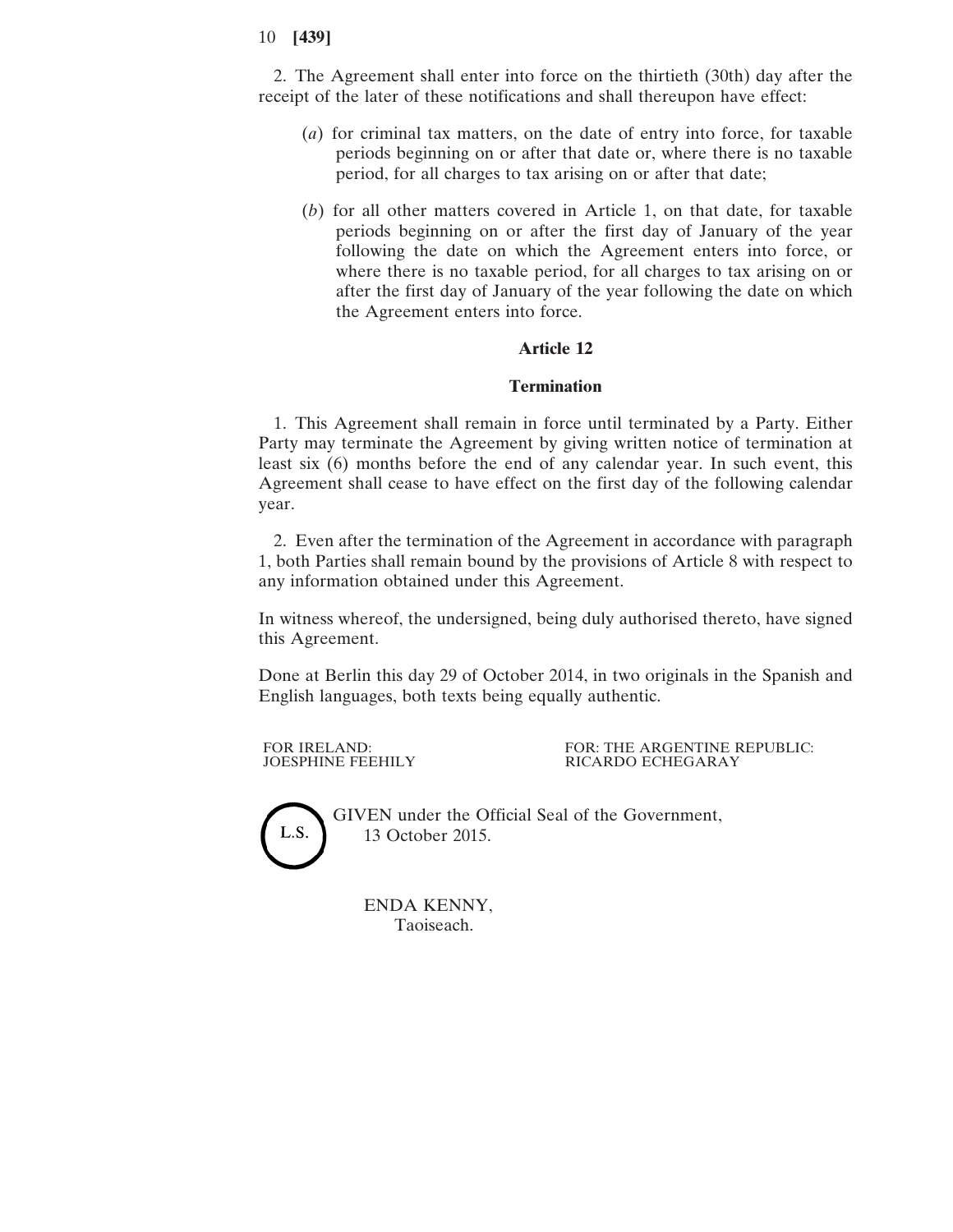2. The Agreement shall enter into force on the thirtieth (30th) day after the receipt of the later of these notifications and shall thereupon have effect:

- (*a*) for criminal tax matters, on the date of entry into force, for taxable periods beginning on or after that date or, where there is no taxable period, for all charges to tax arising on or after that date;
- (*b*) for all other matters covered in Article 1, on that date, for taxable periods beginning on or after the first day of January of the year following the date on which the Agreement enters into force, or where there is no taxable period, for all charges to tax arising on or after the first day of January of the year following the date on which the Agreement enters into force.

# **Article 12**

## **Termination**

1. This Agreement shall remain in force until terminated by a Party. Either Party may terminate the Agreement by giving written notice of termination at least six (6) months before the end of any calendar year. In such event, this Agreement shall cease to have effect on the first day of the following calendar year.

2. Even after the termination of the Agreement in accordance with paragraph 1, both Parties shall remain bound by the provisions of Article 8 with respect to any information obtained under this Agreement.

In witness whereof, the undersigned, being duly authorised thereto, have signed this Agreement.

Done at Berlin this day 29 of October 2014, in two originals in the Spanish and English languages, both texts being equally authentic.

FOR IRELAND: FOR: THE ARGENTINE REPUBLIC:<br>
JOESPHINE FEEHILY RICARDO ECHEGARAY RICARDO ECHEGARAY



GIVEN under the Official Seal of the Government, 13 October 2015.

ENDA KENNY, Taoiseach.